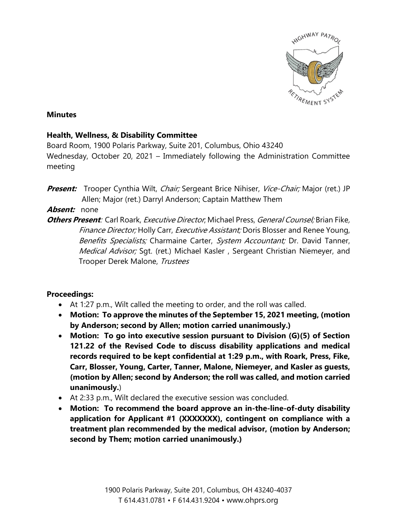

## **Minutes**

## **Health, Wellness, & Disability Committee**

Board Room, 1900 Polaris Parkway, Suite 201, Columbus, Ohio 43240 Wednesday, October 20, 2021 – Immediately following the Administration Committee meeting

**Present:** Trooper Cynthia Wilt, Chair; Sergeant Brice Nihiser, Vice-Chair; Major (ret.) JP Allen; Major (ret.) Darryl Anderson; Captain Matthew Them

## **Absent:** none

**Others Present**: Carl Roark, Executive Director; Michael Press, General Counsel; Brian Fike, *Finance Director;* Holly Carr, *Executive Assistant;* Doris Blosser and Renee Young, Benefits Specialists; Charmaine Carter, System Accountant; Dr. David Tanner, Medical Advisor; Sqt. (ret.) Michael Kasler, Sergeant Christian Niemeyer, and Trooper Derek Malone, Trustees

## **Proceedings:**

- At 1:27 p.m., Wilt called the meeting to order, and the roll was called.
- **Motion: To approve the minutes of the September 15, 2021 meeting, (motion by Anderson; second by Allen; motion carried unanimously.)**
- **Motion: To go into executive session pursuant to Division (G)(5) of Section 121.22 of the Revised Code to discuss disability applications and medical records required to be kept confidential at 1:29 p.m., with Roark, Press, Fike, Carr, Blosser, Young, Carter, Tanner, Malone, Niemeyer, and Kasler as guests, (motion by Allen; second by Anderson; the roll was called, and motion carried unanimously.**)
- At 2:33 p.m., Wilt declared the executive session was concluded.
- **Motion: To recommend the board approve an in-the-line-of-duty disability application for Applicant #1 (XXXXXXX), contingent on compliance with a treatment plan recommended by the medical advisor, (motion by Anderson; second by Them; motion carried unanimously.)**